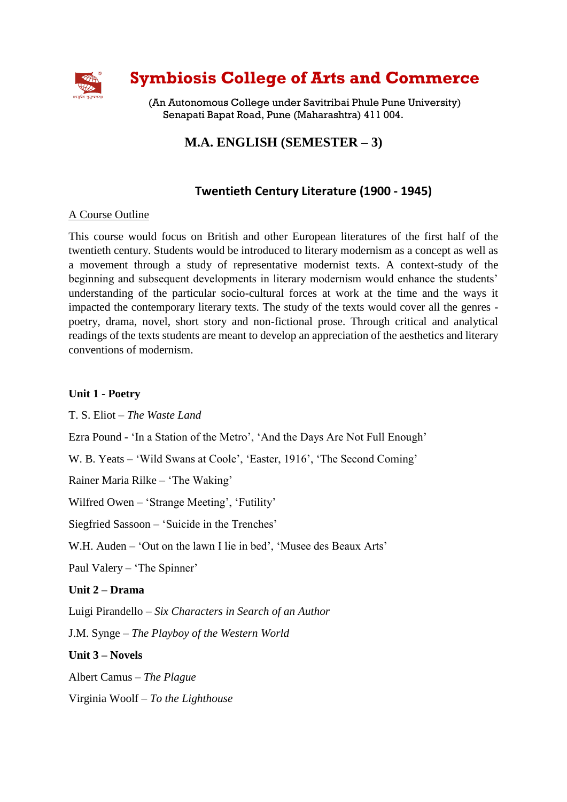

# **Symbiosis College of Arts and Commerce**

(An Autonomous College under Savitribai Phule Pune University) Senapati Bapat Road, Pune (Maharashtra) 411 004.

# **M.A. ENGLISH (SEMESTER – 3)**

# **Twentieth Century Literature (1900 - 1945)**

#### A Course Outline

This course would focus on British and other European literatures of the first half of the twentieth century. Students would be introduced to literary modernism as a concept as well as a movement through a study of representative modernist texts. A context-study of the beginning and subsequent developments in literary modernism would enhance the students' understanding of the particular socio-cultural forces at work at the time and the ways it impacted the contemporary literary texts. The study of the texts would cover all the genres poetry, drama, novel, short story and non-fictional prose. Through critical and analytical readings of the texts students are meant to develop an appreciation of the aesthetics and literary conventions of modernism.

#### **Unit 1 - Poetry**

T. S. Eliot – *The Waste Land*

Ezra Pound - 'In a Station of the Metro', 'And the Days Are Not Full Enough'

W. B. Yeats – 'Wild Swans at Coole', 'Easter, 1916', 'The Second Coming'

Rainer Maria Rilke – 'The Waking'

Wilfred Owen – 'Strange Meeting', 'Futility'

Siegfried Sassoon – 'Suicide in the Trenches'

W.H. Auden – 'Out on the lawn I lie in bed', 'Musee des Beaux Arts'

Paul Valery – 'The Spinner'

### **Unit 2 – Drama**

Luigi Pirandello – *Six Characters in Search of an Author*

J.M. Synge – *The Playboy of the Western World*

**Unit 3 – Novels**

Albert Camus – *The Plague*

Virginia Woolf – *To the Lighthouse*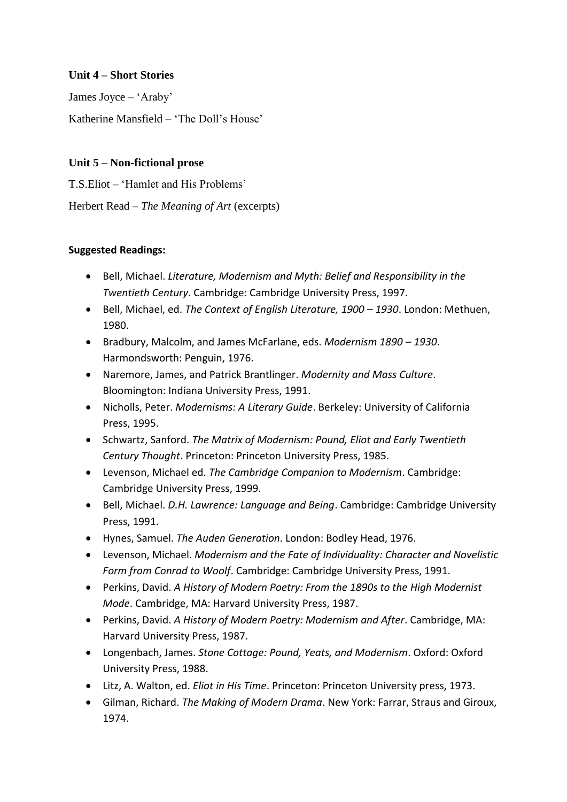### **Unit 4 – Short Stories**

James Joyce – 'Araby'

Katherine Mansfield – 'The Doll's House'

## **Unit 5 – Non-fictional prose**

T.S.Eliot – 'Hamlet and His Problems'

Herbert Read – *The Meaning of Art* (excerpts)

## **Suggested Readings:**

- Bell, Michael. *Literature, Modernism and Myth: Belief and Responsibility in the Twentieth Century*. Cambridge: Cambridge University Press, 1997.
- Bell, Michael, ed. *The Context of English Literature, 1900 1930*. London: Methuen, 1980.
- Bradbury, Malcolm, and James McFarlane, eds. *Modernism 1890 – 1930*. Harmondsworth: Penguin, 1976.
- Naremore, James, and Patrick Brantlinger. *Modernity and Mass Culture*. Bloomington: Indiana University Press, 1991.
- Nicholls, Peter. *Modernisms: A Literary Guide*. Berkeley: University of California Press, 1995.
- Schwartz, Sanford. *The Matrix of Modernism: Pound, Eliot and Early Twentieth Century Thought*. Princeton: Princeton University Press, 1985.
- Levenson, Michael ed. *The Cambridge Companion to Modernism*. Cambridge: Cambridge University Press, 1999.
- Bell, Michael. *D.H. Lawrence: Language and Being*. Cambridge: Cambridge University Press, 1991.
- Hynes, Samuel. *The Auden Generation*. London: Bodley Head, 1976.
- Levenson, Michael. *Modernism and the Fate of Individuality: Character and Novelistic Form from Conrad to Woolf*. Cambridge: Cambridge University Press, 1991.
- Perkins, David. *A History of Modern Poetry: From the 1890s to the High Modernist Mode*. Cambridge, MA: Harvard University Press, 1987.
- Perkins, David. *A History of Modern Poetry: Modernism and After*. Cambridge, MA: Harvard University Press, 1987.
- Longenbach, James. *Stone Cottage: Pound, Yeats, and Modernism*. Oxford: Oxford University Press, 1988.
- Litz, A. Walton, ed. *Eliot in His Time*. Princeton: Princeton University press, 1973.
- Gilman, Richard. *The Making of Modern Drama*. New York: Farrar, Straus and Giroux, 1974.